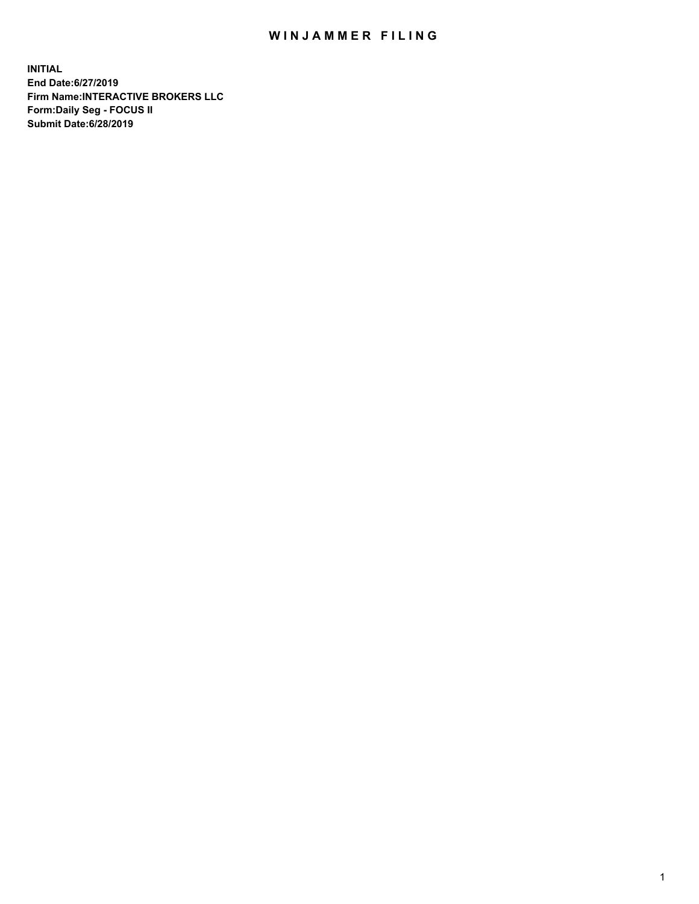## WIN JAMMER FILING

**INITIAL End Date:6/27/2019 Firm Name:INTERACTIVE BROKERS LLC Form:Daily Seg - FOCUS II Submit Date:6/28/2019**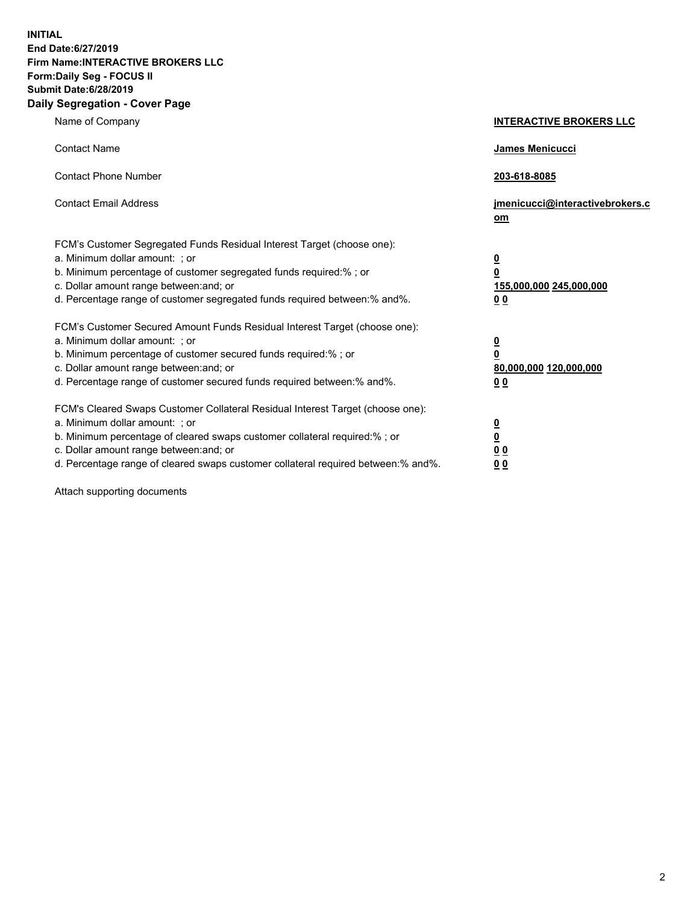**INITIAL End Date:6/27/2019 Firm Name:INTERACTIVE BROKERS LLC Form:Daily Seg - FOCUS II Submit Date:6/28/2019 Daily Segregation - Cover Page**

| Name of Company                                                                                                                                                                                                                                                                                                                | <b>INTERACTIVE BROKERS LLC</b>                                                   |
|--------------------------------------------------------------------------------------------------------------------------------------------------------------------------------------------------------------------------------------------------------------------------------------------------------------------------------|----------------------------------------------------------------------------------|
| <b>Contact Name</b>                                                                                                                                                                                                                                                                                                            | James Menicucci                                                                  |
| <b>Contact Phone Number</b>                                                                                                                                                                                                                                                                                                    | 203-618-8085                                                                     |
| <b>Contact Email Address</b>                                                                                                                                                                                                                                                                                                   | jmenicucci@interactivebrokers.c<br>om                                            |
| FCM's Customer Segregated Funds Residual Interest Target (choose one):<br>a. Minimum dollar amount: ; or<br>b. Minimum percentage of customer segregated funds required:% ; or<br>c. Dollar amount range between: and; or<br>d. Percentage range of customer segregated funds required between:% and%.                         | <u>0</u><br>$\overline{\mathbf{0}}$<br>155,000,000 245,000,000<br>0 <sub>0</sub> |
| FCM's Customer Secured Amount Funds Residual Interest Target (choose one):<br>a. Minimum dollar amount: ; or<br>b. Minimum percentage of customer secured funds required:% ; or<br>c. Dollar amount range between: and; or<br>d. Percentage range of customer secured funds required between:% and%.                           | <u>0</u><br>$\overline{\mathbf{0}}$<br>80,000,000 120,000,000<br>0 <sub>0</sub>  |
| FCM's Cleared Swaps Customer Collateral Residual Interest Target (choose one):<br>a. Minimum dollar amount: ; or<br>b. Minimum percentage of cleared swaps customer collateral required:% ; or<br>c. Dollar amount range between: and; or<br>d. Percentage range of cleared swaps customer collateral required between:% and%. | <u>0</u><br>$\underline{\mathbf{0}}$<br>0 <sub>0</sub><br>0 <sub>0</sub>         |

Attach supporting documents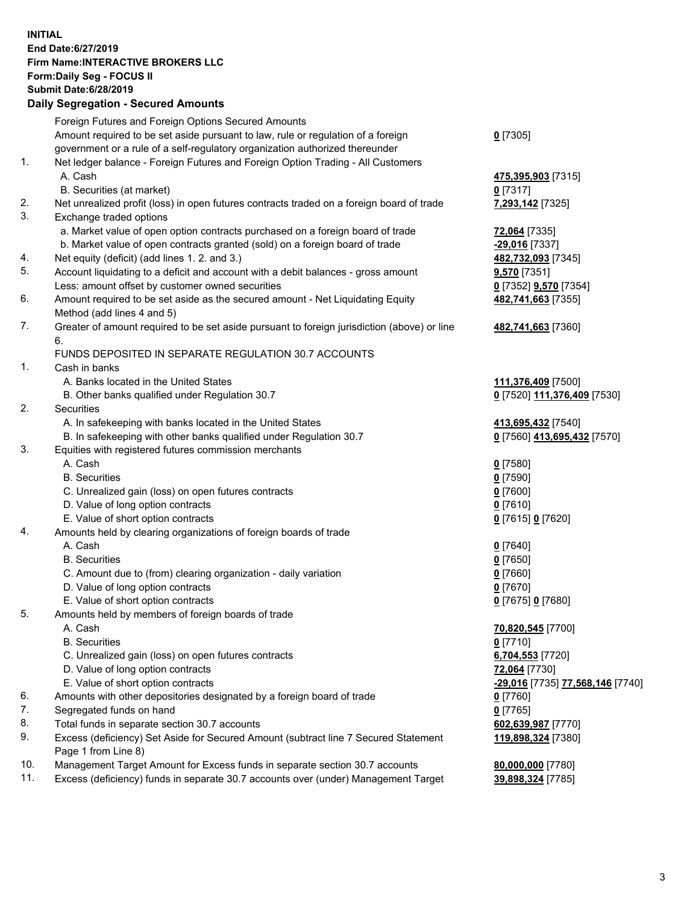## **INITIAL End Date:6/27/2019 Firm Name:INTERACTIVE BROKERS LLC Form:Daily Seg - FOCUS II Submit Date:6/28/2019 Daily Segregation - Secured Amounts**

|                | Daily Ocglegation - Occuled Aniounts                                                              |                                               |
|----------------|---------------------------------------------------------------------------------------------------|-----------------------------------------------|
|                | Foreign Futures and Foreign Options Secured Amounts                                               |                                               |
|                | Amount required to be set aside pursuant to law, rule or regulation of a foreign                  | $0$ [7305]                                    |
|                | government or a rule of a self-regulatory organization authorized thereunder                      |                                               |
| $\mathbf{1}$ . | Net ledger balance - Foreign Futures and Foreign Option Trading - All Customers                   |                                               |
|                | A. Cash                                                                                           | 475,395,903 [7315]                            |
|                | B. Securities (at market)                                                                         | $0$ [7317]                                    |
| 2.             | Net unrealized profit (loss) in open futures contracts traded on a foreign board of trade         | 7,293,142 [7325]                              |
| 3.             | Exchange traded options                                                                           |                                               |
|                | a. Market value of open option contracts purchased on a foreign board of trade                    | 72,064 [7335]                                 |
|                | b. Market value of open contracts granted (sold) on a foreign board of trade                      | -29,016 [7337]                                |
| 4.             | Net equity (deficit) (add lines 1. 2. and 3.)                                                     | 482,732,093 [7345]                            |
| 5.             | Account liquidating to a deficit and account with a debit balances - gross amount                 | 9,570 [7351]                                  |
|                | Less: amount offset by customer owned securities                                                  | 0 [7352] <b>9,570</b> [7354]                  |
| 6.             | Amount required to be set aside as the secured amount - Net Liquidating Equity                    | 482,741,663 [7355]                            |
|                | Method (add lines 4 and 5)                                                                        |                                               |
| 7.             | Greater of amount required to be set aside pursuant to foreign jurisdiction (above) or line<br>6. | 482,741,663 [7360]                            |
|                | FUNDS DEPOSITED IN SEPARATE REGULATION 30.7 ACCOUNTS                                              |                                               |
| $\mathbf{1}$ . | Cash in banks                                                                                     |                                               |
|                | A. Banks located in the United States                                                             | 111,376,409 [7500]                            |
|                | B. Other banks qualified under Regulation 30.7                                                    | 0 [7520] 111,376,409 [7530]                   |
| 2.             | Securities                                                                                        |                                               |
|                | A. In safekeeping with banks located in the United States                                         | 413,695,432 [7540]                            |
|                | B. In safekeeping with other banks qualified under Regulation 30.7                                | 0 [7560] 413,695,432 [7570]                   |
| 3.             | Equities with registered futures commission merchants                                             |                                               |
|                | A. Cash                                                                                           | $0$ [7580]                                    |
|                | <b>B.</b> Securities                                                                              | $0$ [7590]                                    |
|                | C. Unrealized gain (loss) on open futures contracts                                               | $0$ [7600]                                    |
|                | D. Value of long option contracts                                                                 | $0$ [7610]                                    |
|                | E. Value of short option contracts                                                                | 0 [7615] 0 [7620]                             |
| 4.             | Amounts held by clearing organizations of foreign boards of trade                                 |                                               |
|                | A. Cash                                                                                           | $0$ [7640]                                    |
|                | <b>B.</b> Securities                                                                              | $0$ [7650]                                    |
|                | C. Amount due to (from) clearing organization - daily variation                                   | $0$ [7660]                                    |
|                | D. Value of long option contracts                                                                 | $0$ [7670]                                    |
|                | E. Value of short option contracts                                                                | 0 [7675] 0 [7680]                             |
| 5.             | Amounts held by members of foreign boards of trade                                                |                                               |
|                | A. Cash                                                                                           | 70,820,545 [7700]                             |
|                | <b>B.</b> Securities                                                                              | $0$ [7710]                                    |
|                | C. Unrealized gain (loss) on open futures contracts                                               | 6,704,553 [7720]                              |
|                | D. Value of long option contracts                                                                 | 72,064 [7730]                                 |
|                | E. Value of short option contracts                                                                | <mark>-29,016</mark> [7735] 77,568,146 [7740] |
| 6.             | Amounts with other depositories designated by a foreign board of trade                            | 0 [7760]                                      |
| 7.             | Segregated funds on hand                                                                          | $0$ [7765]                                    |
| 8.             | Total funds in separate section 30.7 accounts                                                     | 602,639,987 [7770]                            |
| 9.             | Excess (deficiency) Set Aside for Secured Amount (subtract line 7 Secured Statement               | 119,898,324 [7380]                            |
|                | Page 1 from Line 8)                                                                               |                                               |
| 10.            | Management Target Amount for Excess funds in separate section 30.7 accounts                       | 80,000,000 [7780]                             |
| 11.            | Excess (deficiency) funds in separate 30.7 accounts over (under) Management Target                | 39,898,324 [7785]                             |
|                |                                                                                                   |                                               |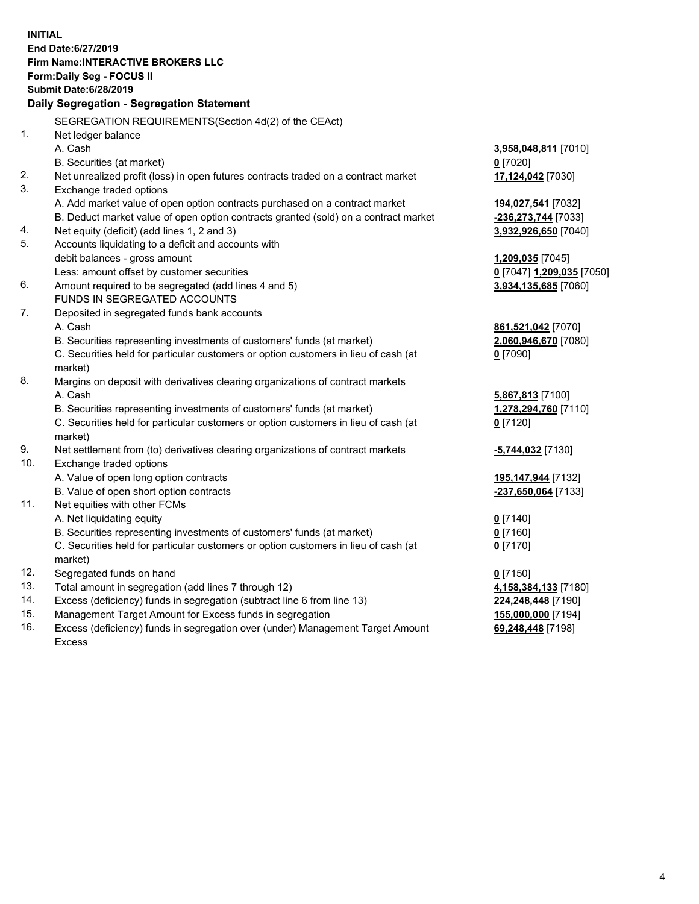**INITIAL End Date:6/27/2019 Firm Name:INTERACTIVE BROKERS LLC Form:Daily Seg - FOCUS II Submit Date:6/28/2019 Daily Segregation - Segregation Statement** SEGREGATION REQUIREMENTS(Section 4d(2) of the CEAct) 1. Net ledger balance A. Cash **3,958,048,811** [7010] B. Securities (at market) **0** [7020] 2. Net unrealized profit (loss) in open futures contracts traded on a contract market **17,124,042** [7030] 3. Exchange traded options A. Add market value of open option contracts purchased on a contract market **194,027,541** [7032] B. Deduct market value of open option contracts granted (sold) on a contract market **-236,273,744** [7033] 4. Net equity (deficit) (add lines 1, 2 and 3) **3,932,926,650** [7040] 5. Accounts liquidating to a deficit and accounts with debit balances - gross amount **1,209,035** [7045] Less: amount offset by customer securities **0** [7047] **1,209,035** [7050] 6. Amount required to be segregated (add lines 4 and 5) **3,934,135,685** [7060] FUNDS IN SEGREGATED ACCOUNTS 7. Deposited in segregated funds bank accounts A. Cash **861,521,042** [7070] B. Securities representing investments of customers' funds (at market) **2,060,946,670** [7080] C. Securities held for particular customers or option customers in lieu of cash (at market) **0** [7090] 8. Margins on deposit with derivatives clearing organizations of contract markets A. Cash **5,867,813** [7100] B. Securities representing investments of customers' funds (at market) **1,278,294,760** [7110] C. Securities held for particular customers or option customers in lieu of cash (at market) **0** [7120] 9. Net settlement from (to) derivatives clearing organizations of contract markets **-5,744,032** [7130] 10. Exchange traded options A. Value of open long option contracts **195,147,944** [7132] B. Value of open short option contracts **-237,650,064** [7133] 11. Net equities with other FCMs A. Net liquidating equity **0** [7140] B. Securities representing investments of customers' funds (at market) **0** [7160] C. Securities held for particular customers or option customers in lieu of cash (at market) **0** [7170] 12. Segregated funds on hand **0** [7150] 13. Total amount in segregation (add lines 7 through 12) **4,158,384,133** [7180] 14. Excess (deficiency) funds in segregation (subtract line 6 from line 13) **224,248,448** [7190] 15. Management Target Amount for Excess funds in segregation **155,000,000** [7194]

16. Excess (deficiency) funds in segregation over (under) Management Target Amount Excess

**69,248,448** [7198]